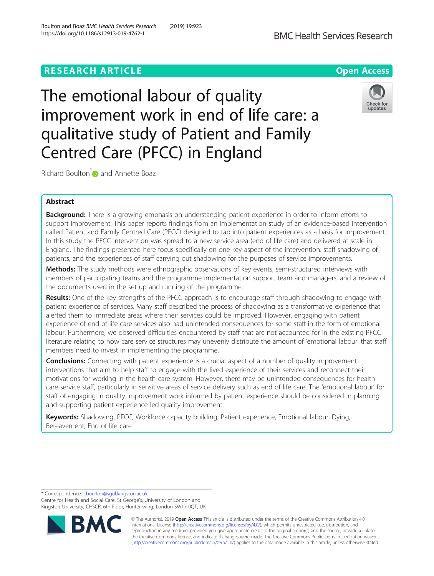# **RESEARCH ARTICLE Example 2014 12:30 The Contract of Contract ACCESS**



The emotional labour of quality improvement work in end of life care: a qualitative study of Patient and Family Centred Care (PFCC) in England



Richard Boulton<sup>[\\*](http://orcid.org/0000-0002-1420-8473)</sup> and Annette Boaz

# Abstract

Background: There is a growing emphasis on understanding patient experience in order to inform efforts to support improvement. This paper reports findings from an implementation study of an evidence-based intervention called Patient and Family Centred Care (PFCC) designed to tap into patient experiences as a basis for improvement. In this study the PFCC intervention was spread to a new service area (end of life care) and delivered at scale in England. The findings presented here focus specifically on one key aspect of the intervention: staff shadowing of patients, and the experiences of staff carrying out shadowing for the purposes of service improvements.

Methods: The study methods were ethnographic observations of key events, semi-structured interviews with members of participating teams and the programme implementation support team and managers, and a review of the documents used in the set up and running of the programme.

Results: One of the key strengths of the PFCC approach is to encourage staff through shadowing to engage with patient experience of services. Many staff described the process of shadowing as a transformative experience that alerted them to immediate areas where their services could be improved. However, engaging with patient experience of end of life care services also had unintended consequences for some staff in the form of emotional labour. Furthermore, we observed difficulties encountered by staff that are not accounted for in the existing PFCC literature relating to how care service structures may unevenly distribute the amount of 'emotional labour' that staff members need to invest in implementing the programme.

**Conclusions:** Connecting with patient experience is a crucial aspect of a number of quality improvement interventions that aim to help staff to engage with the lived experience of their services and reconnect their motivations for working in the health care system. However, there may be unintended consequences for health care service staff, particularly in sensitive areas of service delivery such as end of life care. The 'emotional labour' for staff of engaging in quality improvement work informed by patient experience should be considered in planning and supporting patient experience led quality improvement.

Keywords: Shadowing, PFCC, Workforce capacity building, Patient experience, Emotional labour, Dying, Bereavement, End of life care

\* Correspondence: [r.boulton@sgul.kingston.ac.uk](mailto:r.boulton@sgul.kingston.ac.uk)

Centre for Health and Social Care, St George's, University of London and Kingston University, CHSCR, 6th Floor, Hunter wing, London SW17 0QT, UK



© The Author(s). 2019 Open Access This article is distributed under the terms of the Creative Commons Attribution 4.0 International License [\(http://creativecommons.org/licenses/by/4.0/](http://creativecommons.org/licenses/by/4.0/)), which permits unrestricted use, distribution, and reproduction in any medium, provided you give appropriate credit to the original author(s) and the source, provide a link to the Creative Commons license, and indicate if changes were made. The Creative Commons Public Domain Dedication waiver [\(http://creativecommons.org/publicdomain/zero/1.0/](http://creativecommons.org/publicdomain/zero/1.0/)) applies to the data made available in this article, unless otherwise stated.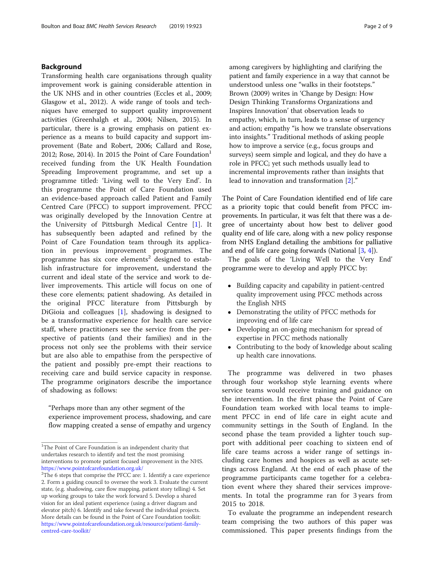# Background

Transforming health care organisations through quality improvement work is gaining considerable attention in the UK NHS and in other countries (Eccles et al., 2009; Glasgow et al., 2012). A wide range of tools and techniques have emerged to support quality improvement activities (Greenhalgh et al., 2004; Nilsen, 2015). In particular, there is a growing emphasis on patient experience as a means to build capacity and support improvement (Bate and Robert, 2006; Callard and Rose, 2012; Rose, 2014). In 2015 the Point of Care Foundation<sup>1</sup> received funding from the UK Health Foundation Spreading Improvement programme, and set up a programme titled: 'Living well to the Very End'. In this programme the Point of Care Foundation used an evidence-based approach called Patient and Family Centred Care (PFCC) to support improvement. PFCC was originally developed by the Innovation Centre at the University of Pittsburgh Medical Centre [[1](#page-7-0)]. It has subsequently been adapted and refined by the Point of Care Foundation team through its application in previous improvement programmes. The programme has six core elements<sup>2</sup> designed to establish infrastructure for improvement, understand the current and ideal state of the service and work to deliver improvements. This article will focus on one of these core elements; patient shadowing. As detailed in the original PFCC literature from Pittsburgh by DiGioia and colleagues  $[1]$  $[1]$ , shadowing is designed to be a transformative experience for health care service staff, where practitioners see the service from the perspective of patients (and their families) and in the process not only see the problems with their service but are also able to empathise from the perspective of the patient and possibly pre-empt their reactions to receiving care and build service capacity in response. The programme originators describe the importance of shadowing as follows:

"Perhaps more than any other segment of the experience improvement process, shadowing, and care flow mapping created a sense of empathy and urgency among caregivers by highlighting and clarifying the patient and family experience in a way that cannot be understood unless one "walks in their footsteps." Brown (2009) writes in 'Change by Design: How Design Thinking Transforms Organizations and Inspires Innovation' that observation leads to empathy, which, in turn, leads to a sense of urgency and action; empathy "is how we translate observations into insights." Traditional methods of asking people how to improve a service (e.g., focus groups and surveys) seem simple and logical, and they do have a role in PFCC; yet such methods usually lead to incremental improvements rather than insights that lead to innovation and transformation [\[2](#page-7-0)]."

The Point of Care Foundation identified end of life care as a priority topic that could benefit from PFCC improvements. In particular, it was felt that there was a degree of uncertainty about how best to deliver good quality end of life care, along with a new policy response from NHS England detailing the ambitions for palliative and end of life care going forwards (National  $[3, 4]$  $[3, 4]$  $[3, 4]$ ).

The goals of the 'Living Well to the Very End' programme were to develop and apply PFCC by:

- Building capacity and capability in patient-centred quality improvement using PFCC methods across the English NHS
- Demonstrating the utility of PFCC methods for improving end of life care
- Developing an on-going mechanism for spread of expertise in PFCC methods nationally
- Contributing to the body of knowledge about scaling up health care innovations.

The programme was delivered in two phases through four workshop style learning events where service teams would receive training and guidance on the intervention. In the first phase the Point of Care Foundation team worked with local teams to implement PFCC in end of life care in eight acute and community settings in the South of England. In the second phase the team provided a lighter touch support with additional peer coaching to sixteen end of life care teams across a wider range of settings including care homes and hospices as well as acute settings across England. At the end of each phase of the programme participants came together for a celebration event where they shared their services improvements. In total the programme ran for 3 years from 2015 to 2018.

To evaluate the programme an independent research team comprising the two authors of this paper was commissioned. This paper presents findings from the

<sup>&</sup>lt;sup>1</sup>The Point of Care Foundation is an independent charity that undertakes research to identify and test the most promising interventions to promote patient focused improvement in the NHS. <https://www.pointofcarefoundation.org.uk/>

<sup>&</sup>lt;sup>2</sup>The 6 steps that comprise the PFCC are: 1. Identify a care experience 2. Form a guiding council to oversee the work 3. Evaluate the current state, (e.g. shadowing, care flow mapping, patient story telling) 4. Set up working groups to take the work forward 5. Develop a shared vision for an ideal patient experience (using a driver diagram and elevator pitch) 6. Identify and take forward the individual projects. More details can be found in the Point of Care Foundation toolkit: [https://www.pointofcarefoundation.org.uk/resource/patient-family](https://www.pointofcarefoundation.org.uk/resource/patient-family-centred-care-toolkit/)[centred-care-toolkit/](https://www.pointofcarefoundation.org.uk/resource/patient-family-centred-care-toolkit/)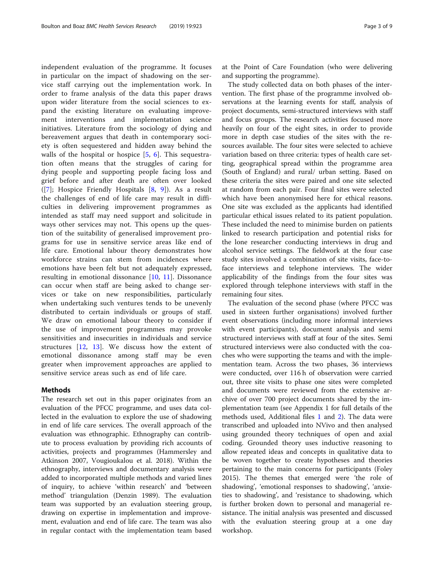independent evaluation of the programme. It focuses in particular on the impact of shadowing on the service staff carrying out the implementation work. In order to frame analysis of the data this paper draws upon wider literature from the social sciences to expand the existing literature on evaluating improvement interventions and implementation science initiatives. Literature from the sociology of dying and bereavement argues that death in contemporary society is often sequestered and hidden away behind the walls of the hospital or hospice [[5](#page-7-0), [6\]](#page-7-0). This sequestration often means that the struggles of caring for dying people and supporting people facing loss and grief before and after death are often over looked  $([7];$  $([7];$  $([7];$  Hospice Friendly Hospitals  $[8, 9]$  $[8, 9]$  $[8, 9]$  $[8, 9]$ ). As a result the challenges of end of life care may result in difficulties in delivering improvement programmes as intended as staff may need support and solicitude in ways other services may not. This opens up the question of the suitability of generalised improvement programs for use in sensitive service areas like end of life care. Emotional labour theory demonstrates how workforce strains can stem from incidences where emotions have been felt but not adequately expressed, resulting in emotional dissonance [[10,](#page-7-0) [11\]](#page-8-0). Dissonance can occur when staff are being asked to change services or take on new responsibilities, particularly when undertaking such ventures tends to be unevenly distributed to certain individuals or groups of staff. We draw on emotional labour theory to consider if the use of improvement programmes may provoke sensitivities and insecurities in individuals and service structures [\[12](#page-8-0), [13\]](#page-8-0). We discuss how the extent of emotional dissonance among staff may be even greater when improvement approaches are applied to sensitive service areas such as end of life care.

# Methods

The research set out in this paper originates from an evaluation of the PFCC programme, and uses data collected in the evaluation to explore the use of shadowing in end of life care services. The overall approach of the evaluation was ethnographic. Ethnography can contribute to process evaluation by providing rich accounts of activities, projects and programmes (Hammersley and Atkinson 2007, Vougioukalou et al. 2018). Within the ethnography, interviews and documentary analysis were added to incorporated multiple methods and varied lines of inquiry, to achieve 'within research' and 'between method' triangulation (Denzin 1989). The evaluation team was supported by an evaluation steering group, drawing on expertise in implementation and improvement, evaluation and end of life care. The team was also in regular contact with the implementation team based at the Point of Care Foundation (who were delivering and supporting the programme).

The study collected data on both phases of the intervention. The first phase of the programme involved observations at the learning events for staff, analysis of project documents, semi-structured interviews with staff and focus groups. The research activities focused more heavily on four of the eight sites, in order to provide more in depth case studies of the sites with the resources available. The four sites were selected to achieve variation based on three criteria: types of health care setting, geographical spread within the programme area (South of England) and rural/ urban setting. Based on these criteria the sites were paired and one site selected at random from each pair. Four final sites were selected which have been anonymised here for ethical reasons. One site was excluded as the applicants had identified particular ethical issues related to its patient population. These included the need to minimise burden on patients linked to research participation and potential risks for the lone researcher conducting interviews in drug and alcohol service settings. The fieldwork at the four case study sites involved a combination of site visits, face-toface interviews and telephone interviews. The wider applicability of the findings from the four sites was explored through telephone interviews with staff in the remaining four sites.

The evaluation of the second phase (where PFCC was used in sixteen further organisations) involved further event observations (including more informal interviews with event participants), document analysis and semi structured interviews with staff at four of the sites. Semi structured interviews were also conducted with the coaches who were supporting the teams and with the implementation team. Across the two phases, 36 interviews were conducted, over 116 h of observation were carried out, three site visits to phase one sites were completed and documents were reviewed from the extensive archive of over 700 project documents shared by the implementation team (see Appendix 1 for full details of the methods used, Additional files [1](#page-7-0) and [2\)](#page-7-0). The data were transcribed and uploaded into NVivo and then analysed using grounded theory techniques of open and axial coding. Grounded theory uses inductive reasoning to allow repeated ideas and concepts in qualitative data to be woven together to create hypotheses and theories pertaining to the main concerns for participants (Foley 2015). The themes that emerged were 'the role of shadowing', 'emotional responses to shadowing', 'anxieties to shadowing', and 'resistance to shadowing, which is further broken down to personal and managerial resistance. The initial analysis was presented and discussed with the evaluation steering group at a one day workshop.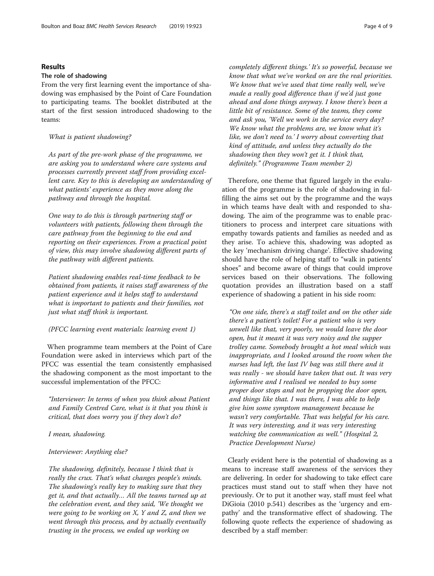# Results

## The role of shadowing

From the very first learning event the importance of shadowing was emphasised by the Point of Care Foundation to participating teams. The booklet distributed at the start of the first session introduced shadowing to the teams:

What is patient shadowing?

As part of the pre-work phase of the programme, we are asking you to understand where care systems and processes currently prevent staff from providing excellent care. Key to this is developing an understanding of what patients' experience as they move along the pathway and through the hospital.

One way to do this is through partnering staff or volunteers with patients, following them through the care pathway from the beginning to the end and reporting on their experiences. From a practical point of view, this may involve shadowing different parts of the pathway with different patients.

Patient shadowing enables real-time feedback to be obtained from patients, it raises staff awareness of the patient experience and it helps staff to understand what is important to patients and their families, not just what staff think is important.

# (PFCC learning event materials: learning event 1)

When programme team members at the Point of Care Foundation were asked in interviews which part of the PFCC was essential the team consistently emphasised the shadowing component as the most important to the successful implementation of the PFCC:

"Interviewer: In terms of when you think about Patient and Family Centred Care, what is it that you think is critical, that does worry you if they don't do?

I mean, shadowing.

# Interviewer: Anything else?

The shadowing, definitely, because I think that is really the crux. That's what changes people's minds. The shadowing's really key to making sure that they get it, and that actually… All the teams turned up at the celebration event, and they said, 'We thought we were going to be working on  $X$ ,  $Y$  and  $Z$ , and then we went through this process, and by actually eventually trusting in the process, we ended up working on

completely different things.' It's so powerful, because we know that what we've worked on are the real priorities. We know that we've used that time really well, we've made a really good difference than if we'd just gone ahead and done things anyway. I know there's been a little bit of resistance. Some of the teams, they come and ask you, 'Well we work in the service every day? We know what the problems are, we know what it's

kind of attitude, and unless they actually do the shadowing then they won't get it. I think that, definitely." (Programme Team member 2)

like, we don't need to.' I worry about converting that

Therefore, one theme that figured largely in the evaluation of the programme is the role of shadowing in fulfilling the aims set out by the programme and the ways in which teams have dealt with and responded to shadowing. The aim of the programme was to enable practitioners to process and interpret care situations with empathy towards patients and families as needed and as they arise. To achieve this, shadowing was adopted as the key 'mechanism driving change'. Effective shadowing should have the role of helping staff to "walk in patients' shoes" and become aware of things that could improve services based on their observations. The following quotation provides an illustration based on a staff experience of shadowing a patient in his side room:

"On one side, there's a staff toilet and on the other side there's a patient's toilet! For a patient who is very unwell like that, very poorly, we would leave the door open, but it meant it was very noisy and the supper trolley came. Somebody brought a hot meal which was inappropriate, and I looked around the room when the nurses had left, the last IV bag was still there and it was really - we should have taken that out. It was very informative and I realised we needed to buy some proper door stops and not be propping the door open, and things like that. I was there, I was able to help give him some symptom management because he wasn't very comfortable. That was helpful for his care. It was very interesting, and it was very interesting watching the communication as well." (Hospital 2, Practice Development Nurse)

Clearly evident here is the potential of shadowing as a means to increase staff awareness of the services they are delivering. In order for shadowing to take effect care practices must stand out to staff when they have not previously. Or to put it another way, staff must feel what DiGioia (2010 p.541) describes as the 'urgency and empathy' and the transformative effect of shadowing. The following quote reflects the experience of shadowing as described by a staff member: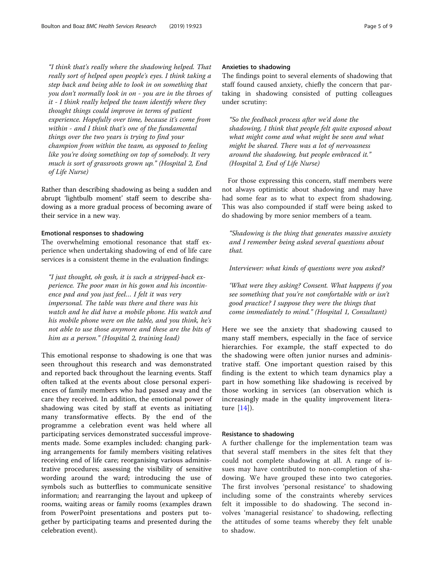"I think that's really where the shadowing helped. That really sort of helped open people's eyes. I think taking a step back and being able to look in on something that you don't normally look in on - you are in the throes of it - I think really helped the team identify where they thought things could improve in terms of patient experience. Hopefully over time, because it's come from within - and I think that's one of the fundamental things over the two years is trying to find your champion from within the team, as opposed to feeling like you're doing something on top of somebody. It very much is sort of grassroots grown up." (Hospital 2, End of Life Nurse)

Rather than describing shadowing as being a sudden and abrupt 'lightbulb moment' staff seem to describe shadowing as a more gradual process of becoming aware of their service in a new way.

# Emotional responses to shadowing

The overwhelming emotional resonance that staff experience when undertaking shadowing of end of life care services is a consistent theme in the evaluation findings:

"I just thought, oh gosh, it is such a stripped-back experience. The poor man in his gown and his incontinence pad and you just feel… I felt it was very impersonal. The table was there and there was his watch and he did have a mobile phone. His watch and his mobile phone were on the table, and you think, he's not able to use those anymore and these are the bits of him as a person." (Hospital 2, training lead)

This emotional response to shadowing is one that was seen throughout this research and was demonstrated and reported back throughout the learning events. Staff often talked at the events about close personal experiences of family members who had passed away and the care they received. In addition, the emotional power of shadowing was cited by staff at events as initiating many transformative effects. By the end of the programme a celebration event was held where all participating services demonstrated successful improvements made. Some examples included: changing parking arrangements for family members visiting relatives receiving end of life care; reorganising various administrative procedures; assessing the visibility of sensitive wording around the ward; introducing the use of symbols such as butterflies to communicate sensitive information; and rearranging the layout and upkeep of rooms, waiting areas or family rooms (examples drawn from PowerPoint presentations and posters put together by participating teams and presented during the celebration event).

# Anxieties to shadowing

The findings point to several elements of shadowing that staff found caused anxiety, chiefly the concern that partaking in shadowing consisted of putting colleagues under scrutiny:

"So the feedback process after we'd done the shadowing, I think that people felt quite exposed about what might come and what might be seen and what might be shared. There was a lot of nervousness around the shadowing, but people embraced it." (Hospital 2, End of Life Nurse)

For those expressing this concern, staff members were not always optimistic about shadowing and may have had some fear as to what to expect from shadowing. This was also compounded if staff were being asked to do shadowing by more senior members of a team.

"Shadowing is the thing that generates massive anxiety and I remember being asked several questions about that.

Interviewer: what kinds of questions were you asked?

'What were they asking? Consent. What happens if you see something that you're not comfortable with or isn't good practice? I suppose they were the things that come immediately to mind." (Hospital 1, Consultant)

Here we see the anxiety that shadowing caused to many staff members, especially in the face of service hierarchies. For example, the staff expected to do the shadowing were often junior nurses and administrative staff. One important question raised by this finding is the extent to which team dynamics play a part in how something like shadowing is received by those working in services (an observation which is increasingly made in the quality improvement literature [\[14\]](#page-8-0)).

### Resistance to shadowing

A further challenge for the implementation team was that several staff members in the sites felt that they could not complete shadowing at all. A range of issues may have contributed to non-completion of shadowing. We have grouped these into two categories. The first involves 'personal resistance' to shadowing including some of the constraints whereby services felt it impossible to do shadowing. The second involves 'managerial resistance' to shadowing, reflecting the attitudes of some teams whereby they felt unable to shadow.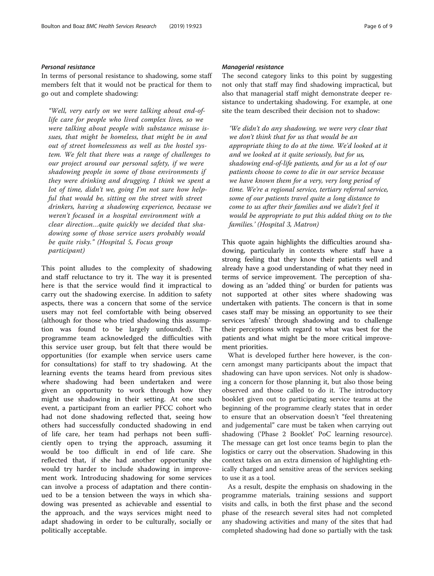# Personal resistance

In terms of personal resistance to shadowing, some staff members felt that it would not be practical for them to go out and complete shadowing:

"Well, very early on we were talking about end-oflife care for people who lived complex lives, so we were talking about people with substance misuse issues, that might be homeless, that might be in and out of street homelessness as well as the hostel system. We felt that there was a range of challenges to our project around our personal safety, if we were shadowing people in some of those environments if they were drinking and drugging. I think we spent a lot of time, didn't we, going I'm not sure how helpful that would be, sitting on the street with street drinkers, having a shadowing experience, because we weren't focused in a hospital environment with a clear direction…quite quickly we decided that shadowing some of those service users probably would be quite risky." (Hospital 5, Focus group participant)

This point alludes to the complexity of shadowing and staff reluctance to try it. The way it is presented here is that the service would find it impractical to carry out the shadowing exercise. In addition to safety aspects, there was a concern that some of the service users may not feel comfortable with being observed (although for those who tried shadowing this assumption was found to be largely unfounded). The programme team acknowledged the difficulties with this service user group, but felt that there would be opportunities (for example when service users came for consultations) for staff to try shadowing. At the learning events the teams heard from previous sites where shadowing had been undertaken and were given an opportunity to work through how they might use shadowing in their setting. At one such event, a participant from an earlier PFCC cohort who had not done shadowing reflected that, seeing how others had successfully conducted shadowing in end of life care, her team had perhaps not been sufficiently open to trying the approach, assuming it would be too difficult in end of life care. She reflected that, if she had another opportunity she would try harder to include shadowing in improvement work. Introducing shadowing for some services can involve a process of adaptation and there continued to be a tension between the ways in which shadowing was presented as achievable and essential to the approach, and the ways services might need to adapt shadowing in order to be culturally, socially or politically acceptable.

The second category links to this point by suggesting not only that staff may find shadowing impractical, but also that managerial staff might demonstrate deeper resistance to undertaking shadowing. For example, at one site the team described their decision not to shadow:

'We didn't do any shadowing, we were very clear that we don't think that for us that would be an appropriate thing to do at the time. We'd looked at it and we looked at it quite seriously, but for us, shadowing end-of-life patients, and for us a lot of our patients choose to come to die in our service because we have known them for a very, very long period of time. We're a regional service, tertiary referral service, some of our patients travel quite a long distance to come to us after their families and we didn't feel it would be appropriate to put this added thing on to the families.' (Hospital 3, Matron)

This quote again highlights the difficulties around shadowing, particularly in contexts where staff have a strong feeling that they know their patients well and already have a good understanding of what they need in terms of service improvement. The perception of shadowing as an 'added thing' or burden for patients was not supported at other sites where shadowing was undertaken with patients. The concern is that in some cases staff may be missing an opportunity to see their services 'afresh' through shadowing and to challenge their perceptions with regard to what was best for the patients and what might be the more critical improvement priorities.

What is developed further here however, is the concern amongst many participants about the impact that shadowing can have upon services. Not only is shadowing a concern for those planning it, but also those being observed and those called to do it. The introductory booklet given out to participating service teams at the beginning of the programme clearly states that in order to ensure that an observation doesn't "feel threatening and judgemental" care must be taken when carrying out shadowing ('Phase 2 Booklet' PoC learning resource). The message can get lost once teams begin to plan the logistics or carry out the observation. Shadowing in this context takes on an extra dimension of highlighting ethically charged and sensitive areas of the services seeking to use it as a tool.

As a result, despite the emphasis on shadowing in the programme materials, training sessions and support visits and calls, in both the first phase and the second phase of the research several sites had not completed any shadowing activities and many of the sites that had completed shadowing had done so partially with the task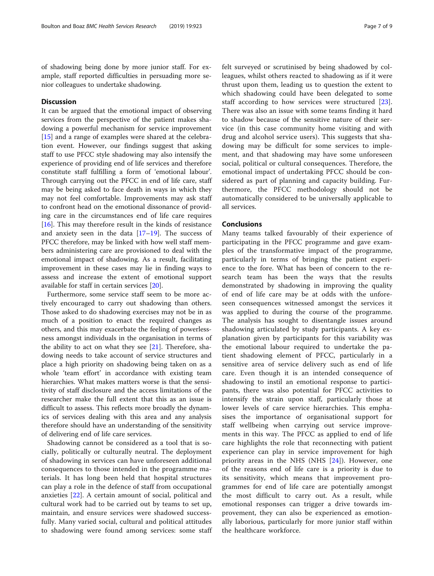# **Discussion**

It can be argued that the emotional impact of observing services from the perspective of the patient makes shadowing a powerful mechanism for service improvement [[15\]](#page-8-0) and a range of examples were shared at the celebration event. However, our findings suggest that asking staff to use PFCC style shadowing may also intensify the experience of providing end of life services and therefore constitute staff fulfilling a form of 'emotional labour'. Through carrying out the PFCC in end of life care, staff may be being asked to face death in ways in which they may not feel comfortable. Improvements may ask staff to confront head on the emotional dissonance of providing care in the circumstances end of life care requires [[16\]](#page-8-0). This may therefore result in the kinds of resistance and anxiety seen in the data  $[17–19]$  $[17–19]$  $[17–19]$ . The success of PFCC therefore, may be linked with how well staff members administering care are provisioned to deal with the emotional impact of shadowing. As a result, facilitating improvement in these cases may lie in finding ways to assess and increase the extent of emotional support available for staff in certain services [[20](#page-8-0)].

Furthermore, some service staff seem to be more actively encouraged to carry out shadowing than others. Those asked to do shadowing exercises may not be in as much of a position to enact the required changes as others, and this may exacerbate the feeling of powerlessness amongst individuals in the organisation in terms of the ability to act on what they see  $[21]$  $[21]$ . Therefore, shadowing needs to take account of service structures and place a high priority on shadowing being taken on as a whole 'team effort' in accordance with existing team hierarchies. What makes matters worse is that the sensitivity of staff disclosure and the access limitations of the researcher make the full extent that this as an issue is difficult to assess. This reflects more broadly the dynamics of services dealing with this area and any analysis therefore should have an understanding of the sensitivity of delivering end of life care services.

Shadowing cannot be considered as a tool that is socially, politically or culturally neutral. The deployment of shadowing in services can have unforeseen additional consequences to those intended in the programme materials. It has long been held that hospital structures can play a role in the defence of staff from occupational anxieties [[22\]](#page-8-0). A certain amount of social, political and cultural work had to be carried out by teams to set up, maintain, and ensure services were shadowed successfully. Many varied social, cultural and political attitudes to shadowing were found among services: some staff felt surveyed or scrutinised by being shadowed by colleagues, whilst others reacted to shadowing as if it were thrust upon them, leading us to question the extent to which shadowing could have been delegated to some staff according to how services were structured [\[23](#page-8-0)]. There was also an issue with some teams finding it hard to shadow because of the sensitive nature of their service (in this case community home visiting and with drug and alcohol service users). This suggests that shadowing may be difficult for some services to implement, and that shadowing may have some unforeseen social, political or cultural consequences. Therefore, the emotional impact of undertaking PFCC should be considered as part of planning and capacity building. Furthermore, the PFCC methodology should not be automatically considered to be universally applicable to all services.

# Conclusions

Many teams talked favourably of their experience of participating in the PFCC programme and gave examples of the transformative impact of the programme, particularly in terms of bringing the patient experience to the fore. What has been of concern to the research team has been the ways that the results demonstrated by shadowing in improving the quality of end of life care may be at odds with the unforeseen consequences witnessed amongst the services it was applied to during the course of the programme. The analysis has sought to disentangle issues around shadowing articulated by study participants. A key explanation given by participants for this variability was the emotional labour required to undertake the patient shadowing element of PFCC, particularly in a sensitive area of service delivery such as end of life care. Even though it is an intended consequence of shadowing to instil an emotional response to participants, there was also potential for PFCC activities to intensify the strain upon staff, particularly those at lower levels of care service hierarchies. This emphasises the importance of organisational support for staff wellbeing when carrying out service improvements in this way. The PFCC as applied to end of life care highlights the role that reconnecting with patient experience can play in service improvement for high priority areas in the NHS (NHS [\[24](#page-8-0)]). However, one of the reasons end of life care is a priority is due to its sensitivity, which means that improvement programmes for end of life care are potentially amongst the most difficult to carry out. As a result, while emotional responses can trigger a drive towards improvement, they can also be experienced as emotionally laborious, particularly for more junior staff within the healthcare workforce.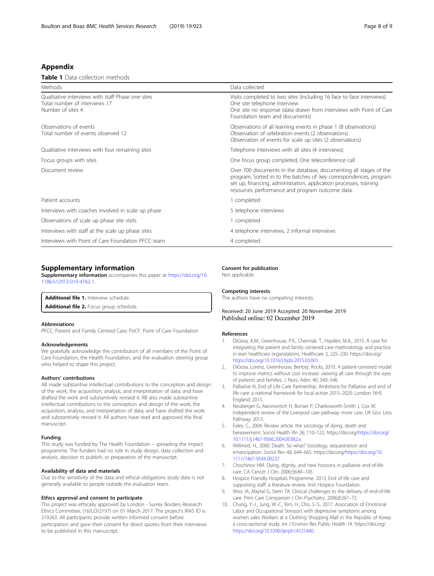# <span id="page-7-0"></span>Appendix

Table 1 Data collection methods

| Methods                                                                                                 | Data collected                                                                                                                                                                                                                                                    |
|---------------------------------------------------------------------------------------------------------|-------------------------------------------------------------------------------------------------------------------------------------------------------------------------------------------------------------------------------------------------------------------|
| Oualitative interviews with staff Phase one sites<br>Total number of interviews 17<br>Number of sites 4 | Visits completed to two sites (including 16 face to face interviews)<br>One site telephone interview<br>One site no response (data drawn from interviews with Point of Care<br>Foundation team and documents)                                                     |
| Observations of events<br>Total number of events observed 12                                            | Observations of all learning events in phase 1 (8 observations)<br>Observation of celebration events (2 observations)<br>Observation of events for scale up sites (2 observations)                                                                                |
| Qualitative interviews with four remaining sites                                                        | Telephone interviews with all sites (4 interviews)                                                                                                                                                                                                                |
| Focus groups with sites                                                                                 | One focus group completed, One teleconference call                                                                                                                                                                                                                |
| Document review                                                                                         | Over 700 documents in the database, documenting all stages of the<br>program, Sorted in to the batches of: key correspondences, program<br>set up, financing, administration, application processes, training<br>resources, performance and program outcome data. |
| Patient accounts                                                                                        | 1 completed                                                                                                                                                                                                                                                       |
| Interviews with coaches involved in scale up phase                                                      | 5 telephone interviews                                                                                                                                                                                                                                            |
| Observations of scale up phase site visits                                                              | 1 completed                                                                                                                                                                                                                                                       |
| Interviews with staff at the scale up phase sites                                                       | 4 telephone interviews, 2 informal interviews                                                                                                                                                                                                                     |
| Interviews with Point of Care Foundation PFCC team                                                      | 4 completed                                                                                                                                                                                                                                                       |

#### Supplementary information

Supplementary information accompanies this paper at [https://doi.org/10.](https://doi.org/10.1186/s12913-019-4762-1) [1186/s12913-019-4762-1.](https://doi.org/10.1186/s12913-019-4762-1)

Additional file 1. Interview schedule.

Additional file 2. Focus group schedule.

### Abbreviations

PFCC: Patient and Family Centred Care; PoCF: Point of Care Foundation

#### Acknowledgements

We gratefully acknowledge the contribution of all members of the Point of Care Foundation, the Health Foundation, and the evaluation steering group who helped to shape this project.

#### Authors' contributions

AB made substantive intellectual contributions to the conception and design of the work; the acquisition, analysis, and interpretation of data; and have drafted the work and substantively revised it. RB also made substantive intellectual contributions to the conception and design of the work; the acquisition, analysis, and interpretation of data; and have drafted the work and substantively revised it. All authors have read and approved the final manuscript.

#### Funding

This study was funded by The Health Foundation – spreading the impact programme. The funders had no role in study design, data collection and analysis, decision to publish, or preparation of the manuscript.

#### Availability of data and materials

Due to the sensitivity of the data and ethical obligations study data is not generally available to people outside the evaluation team.

#### Ethics approval and consent to participate

This project was ethically approved by London - Surrey Borders Research Ethics Committee, (16/LO/2197) on 01 March 2017. The project's IRAS ID is 219263. All participants provide written informed consent before participation and gave their consent for direct quotes from their interviews to be published in this manuscript.

# Consent for publication

Not applicable.

#### Competing interests

The authors have no competing interests.

Received: 20 June 2019 Accepted: 20 November 2019 Published online: 02 December 2019

#### References

- 1. DiGioia, A.M., Greenhouse, P.K., Chermak, T., Hayden, M.A., 2015. A case for integrating the patient and family centered care methodology and practice in lean healthcare organizations. Healthcare 3, 225–230. https://doi.org/ <https://doi.org/10.1016/j.hjdsi.2015.03.001>.
- 2. DiGioia, Lorenz, Greenhouse, Bertoty, Rocks, 2010. A patient-centered model to improve metrics without cost increase: viewing all care through the eyes of patients and families. J. Nurs. Adm. 40, 540–546.
- 3. Palliative N, End of Life Care Partnership. Ambitions for Palliative and end of life care: a national framework for local action 2015–2020. London: NHS England; 2015.
- 4. Neuberger G, Aaronovitch H, Bonser P, Charlesworth-Smith J, Cox W. Independent review of the Liverpool care pathway: more care. UK Gov: Less Pathway; 2013.
- 5. Exley, C., 2004. Review article: the sociology of dying, death and bereavement. Sociol Health Illn 26, 110–122. https://doi.org[/https://doi.org/](https://doi.org/10.1111/j.1467-9566.2004.00382.x) [10.1111/j.1467-9566.2004.00382.x](https://doi.org/10.1111/j.1467-9566.2004.00382.x).
- 6. Willmott, H., 2000. Death. So what? Sociology, sequestration and emancipation. Sociol Rev 48, 649–665. https://doi.org/[https://doi.org/10.](https://doi.org/10.1111/1467-954X.00237) [1111/1467-954X.00237.](https://doi.org/10.1111/1467-954X.00237)
- 7. Chochinov HM. Dying, dignity, and new horizons in palliative end-of-life care. CA Cancer J Clin. 2006;56:84–105.
- 8. Hospice Friendly Hospitals Programme, 2013. End of life care and supporting staff: a literature review. Irish Hospice Foundation.
- 9. Woo JA, Maytal G, Stern TA. Clinical challenges to the delivery of end-of-life care. Prim Care Companion J Clin Psychiatry. 2006;8:367–72.
- 10. Chung, Y.-J., Jung, W.-C., Kim, H., Cho, S.-S., 2017. Association of Emotional Labor and Occupational Stressors with depressive symptoms among women sales Workers at a Clothing Shopping Mall in the Republic of Korea: a cross-sectional study. Int J Environ Res Public Health 14. https://doi.org/ <https://doi.org/10.3390/ijerph14121440>.